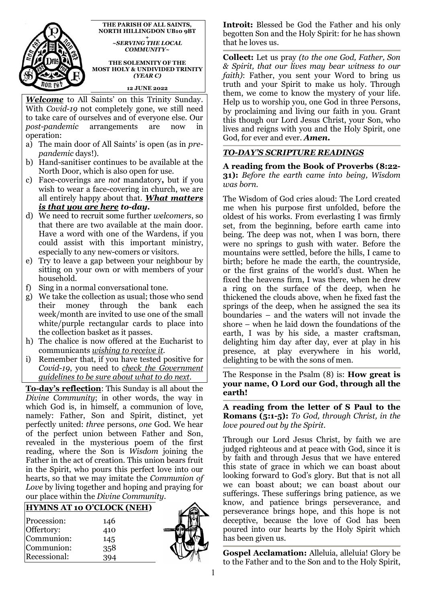

**THE PARISH OF ALL SAINTS, NORTH HILLINGDON UB10 9BT +**  *~SERVING THE LOCAL* 

*COMMUNITY~* 

**THE SOLEMNITY OF THE MOST HOLY & UNDIVIDED TRINITY**  *(YEAR C)* 

**12 JUNE 2022** 

*Welcome* to All Saints' on this Trinity Sunday. With *Covid-19* not completely gone, we still need to take care of ourselves and of everyone else. Our *post-pandemic* arrangements are now in operation:

- a) The main door of All Saints' is open (as in *prepandemic* days!).
- b) Hand-sanitiser continues to be available at the North Door, which is also open for use.
- c) Face-coverings are *not* mandatory**,** but if you wish to wear a face-covering in church, we are all entirely happy about that. *What matters is that you are here to-day.*
- d) We need to recruit some further *welcomers*, so that there are two available at the main door. Have a word with one of the Wardens, if you could assist with this important ministry, especially to any new-comers or visitors.
- e) Try to leave a gap between your neighbour by sitting on your own or with members of your household.
- f) Sing in a normal conversational tone.
- g) We take the collection as usual; those who send their money through the bank each week/month are invited to use one of the small white/purple rectangular cards to place into the collection basket as it passes.
- h) The chalice is now offered at the Eucharist to communicants *wishing to receive it*.
- i) Remember that, if you have tested positive for *Covid-19*, you need to *check the Government guidelines to be sure about what to do next.*

**To-day's reflection**: This Sunday is all about the *Divine Community*; in other words, the way in which God is, in himself, a communion of love, namely: Father, Son and Spirit, distinct, yet perfectly united: *three* persons, *one* God. We hear of the perfect union between Father and Son, revealed in the mysterious poem of the first reading, where the Son is *Wisdom* joining the Father in the act of creation. This union bears fruit in the Spirit, who pours this perfect love into our hearts, so that we may imitate the *Communion of Love* by living together and hoping and praying for our place within the *Divine Community*.

|  | <b>HYMNS AT 10 O'CLOCK (NEH)</b> |  |
|--|----------------------------------|--|
|  |                                  |  |

| Procession:  | 146 |
|--------------|-----|
| Offertory:   | 410 |
| Communion:   | 145 |
| Communion:   | 358 |
| Recessional: | 394 |



**Introit:** Blessed be God the Father and his only begotten Son and the Holy Spirit: for he has shown that he loves us.

**Collect:** Let us pray *(to the one God, Father, Son & Spirit, that our lives may bear witness to our faith)*: Father, you sent your Word to bring us truth and your Spirit to make us holy. Through them, we come to know the mystery of your life. Help us to worship you, one God in three Persons, by proclaiming and living our faith in you. Grant this though our Lord Jesus Christ, your Son, who lives and reigns with you and the Holy Spirit, one God, for ever and ever. *Amen.*

# *TO-DAY'S SCRIPTURE READINGS*

**A reading from the Book of Proverbs (8:22- 31):** *Before the earth came into being, Wisdom was born.* 

The Wisdom of God cries aloud: The Lord created me when his purpose first unfolded, before the oldest of his works. From everlasting I was firmly set, from the beginning, before earth came into being. The deep was not, when I was born, there were no springs to gush with water. Before the mountains were settled, before the hills, I came to birth; before he made the earth, the countryside, or the first grains of the world's dust. When he fixed the heavens firm, I was there, when he drew a ring on the surface of the deep, when he thickened the clouds above, when he fixed fast the springs of the deep, when he assigned the sea its boundaries – and the waters will not invade the shore – when he laid down the foundations of the earth, I was by his side, a master craftsman, delighting him day after day, ever at play in his presence, at play everywhere in his world, delighting to be with the sons of men.

The Response in the Psalm (8) is: **How great is your name, O Lord our God, through all the earth!** 

**A reading from the letter of S Paul to the Romans (5:1-5):** *To God, through Christ, in the love poured out by the Spirit.* 

Through our Lord Jesus Christ, by faith we are judged righteous and at peace with God, since it is by faith and through Jesus that we have entered this state of grace in which we can boast about looking forward to God's glory. But that is not all we can boast about; we can boast about our sufferings. These sufferings bring patience, as we know, and patience brings perseverance, and perseverance brings hope, and this hope is not deceptive, because the love of God has been poured into our hearts by the Holy Spirit which has been given us.

**Gospel Acclamation:** Alleluia, alleluia! Glory be to the Father and to the Son and to the Holy Spirit,